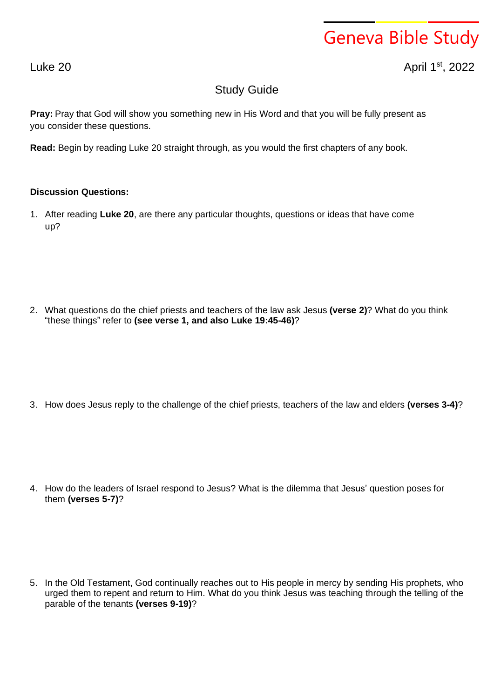## Geneva Bible Study

Luke 20 April 1

st , 2022

## Study Guide

**Pray:** Pray that God will show you something new in His Word and that you will be fully present as you consider these questions.

**Read:** Begin by reading Luke 20 straight through, as you would the first chapters of any book.

## **Discussion Questions:**

1. After reading **Luke 20**, are there any particular thoughts, questions or ideas that have come up?

2. What questions do the chief priests and teachers of the law ask Jesus **(verse 2)**? What do you think "these things" refer to **(see verse 1, and also Luke 19:45-46)**?

3. How does Jesus reply to the challenge of the chief priests, teachers of the law and elders **(verses 3-4)**?

4. How do the leaders of Israel respond to Jesus? What is the dilemma that Jesus' question poses for them **(verses 5-7)**?

5. In the Old Testament, God continually reaches out to His people in mercy by sending His prophets, who urged them to repent and return to Him. What do you think Jesus was teaching through the telling of the parable of the tenants **(verses 9-19)**?